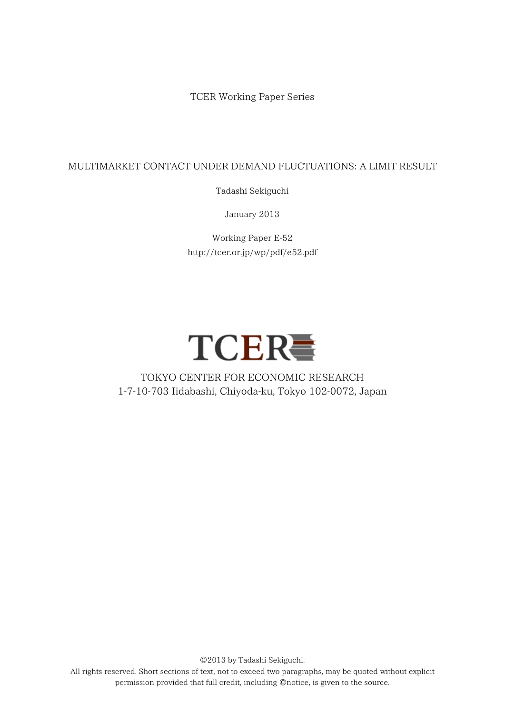TCER Working Paper Series

### MULTIMARKET CONTACT UNDER DEMAND FLUCTUATIONS: A LIMIT RESULT

Tadashi Sekiguchi

January 2013

Working Paper E-52 http://tcer.or.jp/wp/pdf/e52.pdf



# TOKYO CENTER FOR ECONOMIC RESEARCH 1-7-10-703 Iidabashi, Chiyoda-ku, Tokyo 102-0072, Japan

All rights reserved. Short sections of text, not to exceed two paragraphs, may be quoted without explicit permission provided that full credit, including ©notice, is given to the source.

©2013 by Tadashi Sekiguchi.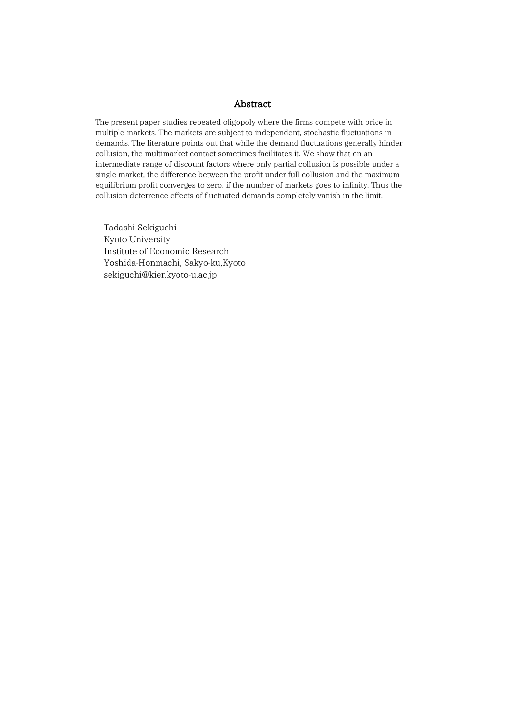#### Abstract

The present paper studies repeated oligopoly where the firms compete with price in multiple markets. The markets are subject to independent, stochastic fluctuations in demands. The literature points out that while the demand fluctuations generally hinder collusion, the multimarket contact sometimes facilitates it. We show that on an intermediate range of discount factors where only partial collusion is possible under a single market, the difference between the profit under full collusion and the maximum equilibrium profit converges to zero, if the number of markets goes to infinity. Thus the collusion-deterrence effects of fluctuated demands completely vanish in the limit.

Tadashi Sekiguchi Kyoto University Institute of Economic Research Yoshida-Honmachi, Sakyo-ku,Kyoto sekiguchi@kier.kyoto-u.ac.jp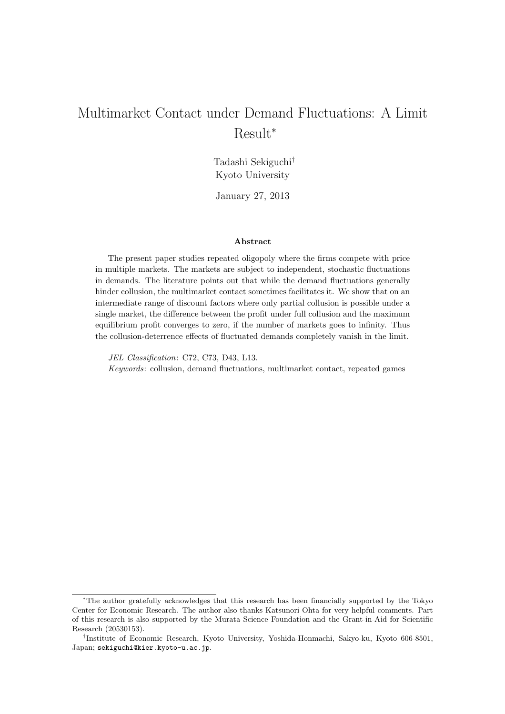# Multimarket Contact under Demand Fluctuations: A Limit Result<sup>∗</sup>

Tadashi Sekiguchi† Kyoto University

January 27, 2013

#### **Abstract**

The present paper studies repeated oligopoly where the firms compete with price in multiple markets. The markets are subject to independent, stochastic fluctuations in demands. The literature points out that while the demand fluctuations generally hinder collusion, the multimarket contact sometimes facilitates it. We show that on an intermediate range of discount factors where only partial collusion is possible under a single market, the difference between the profit under full collusion and the maximum equilibrium profit converges to zero, if the number of markets goes to infinity. Thus the collusion-deterrence effects of fluctuated demands completely vanish in the limit.

*JEL Classification*: C72, C73, D43, L13. *Keywords*: collusion, demand fluctuations, multimarket contact, repeated games

<sup>∗</sup>The author gratefully acknowledges that this research has been financially supported by the Tokyo Center for Economic Research. The author also thanks Katsunori Ohta for very helpful comments. Part of this research is also supported by the Murata Science Foundation and the Grant-in-Aid for Scientific Research (20530153).

<sup>†</sup>Institute of Economic Research, Kyoto University, Yoshida-Honmachi, Sakyo-ku, Kyoto 606-8501, Japan; sekiguchi@kier.kyoto-u.ac.jp.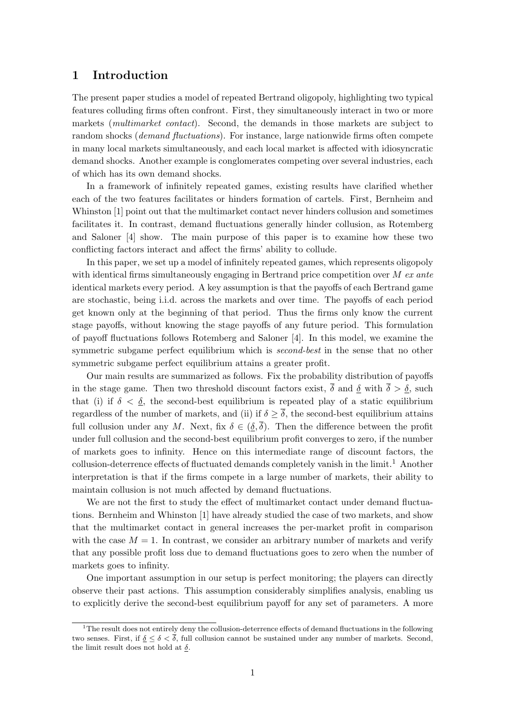#### **1 Introduction**

The present paper studies a model of repeated Bertrand oligopoly, highlighting two typical features colluding firms often confront. First, they simultaneously interact in two or more markets (*multimarket contact*). Second, the demands in those markets are subject to random shocks (*demand fluctuations*). For instance, large nationwide firms often compete in many local markets simultaneously, and each local market is affected with idiosyncratic demand shocks. Another example is conglomerates competing over several industries, each of which has its own demand shocks.

In a framework of infinitely repeated games, existing results have clarified whether each of the two features facilitates or hinders formation of cartels. First, Bernheim and Whinston [1] point out that the multimarket contact never hinders collusion and sometimes facilitates it. In contrast, demand fluctuations generally hinder collusion, as Rotemberg and Saloner [4] show. The main purpose of this paper is to examine how these two conflicting factors interact and affect the firms' ability to collude.

In this paper, we set up a model of infinitely repeated games, which represents oligopoly with identical firms simultaneously engaging in Bertrand price competition over M *ex ante* identical markets every period. A key assumption is that the payoffs of each Bertrand game are stochastic, being i.i.d. across the markets and over time. The payoffs of each period get known only at the beginning of that period. Thus the firms only know the current stage payoffs, without knowing the stage payoffs of any future period. This formulation of payoff fluctuations follows Rotemberg and Saloner [4]. In this model, we examine the symmetric subgame perfect equilibrium which is *second-best* in the sense that no other symmetric subgame perfect equilibrium attains a greater profit.

Our main results are summarized as follows. Fix the probability distribution of payoffs in the stage game. Then two threshold discount factors exist,  $\overline{\delta}$  and  $\underline{\delta}$  with  $\overline{\delta} > \underline{\delta}$ , such that (i) if  $\delta < \underline{\delta}$ , the second-best equilibrium is repeated play of a static equilibrium regardless of the number of markets, and (ii) if  $\delta > \overline{\delta}$ , the second-best equilibrium attains full collusion under any M. Next, fix  $\delta \in (\underline{\delta}, \overline{\delta})$ . Then the difference between the profit under full collusion and the second-best equilibrium profit converges to zero, if the number of markets goes to infinity. Hence on this intermediate range of discount factors, the collusion-deterrence effects of fluctuated demands completely vanish in the limit.<sup>1</sup> Another interpretation is that if the firms compete in a large number of markets, their ability to maintain collusion is not much affected by demand fluctuations.

We are not the first to study the effect of multimarket contact under demand fluctuations. Bernheim and Whinston [1] have already studied the case of two markets, and show that the multimarket contact in general increases the per-market profit in comparison with the case  $M = 1$ . In contrast, we consider an arbitrary number of markets and verify that any possible profit loss due to demand fluctuations goes to zero when the number of markets goes to infinity.

One important assumption in our setup is perfect monitoring; the players can directly observe their past actions. This assumption considerably simplifies analysis, enabling us to explicitly derive the second-best equilibrium payoff for any set of parameters. A more

 $1<sup>1</sup>$ The result does not entirely deny the collusion-deterrence effects of demand fluctuations in the following two senses. First, if  $\delta \leq \delta < \overline{\delta}$ , full collusion cannot be sustained under any number of markets. Second, the limit result does not hold at  $\delta$ .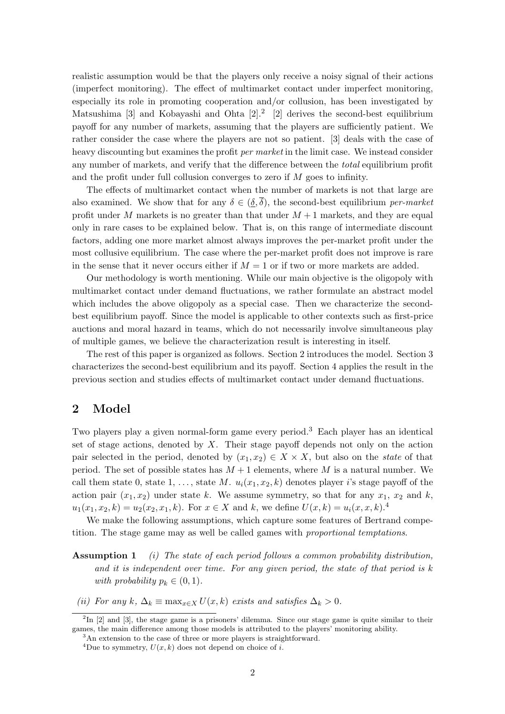realistic assumption would be that the players only receive a noisy signal of their actions (imperfect monitoring). The effect of multimarket contact under imperfect monitoring, especially its role in promoting cooperation and/or collusion, has been investigated by Matsushima [3] and Kobayashi and Ohta  $[2]^2$  [2] derives the second-best equilibrium payoff for any number of markets, assuming that the players are sufficiently patient. We rather consider the case where the players are not so patient. [3] deals with the case of heavy discounting but examines the profit *per market* in the limit case. We instead consider any number of markets, and verify that the difference between the *total* equilibrium profit and the profit under full collusion converges to zero if M goes to infinity.

The effects of multimarket contact when the number of markets is not that large are also examined. We show that for any  $\delta \in (\delta, \overline{\delta})$ , the second-best equilibrium *per-market* profit under M markets is no greater than that under  $M + 1$  markets, and they are equal only in rare cases to be explained below. That is, on this range of intermediate discount factors, adding one more market almost always improves the per-market profit under the most collusive equilibrium. The case where the per-market profit does not improve is rare in the sense that it never occurs either if  $M = 1$  or if two or more markets are added.

Our methodology is worth mentioning. While our main objective is the oligopoly with multimarket contact under demand fluctuations, we rather formulate an abstract model which includes the above oligopoly as a special case. Then we characterize the secondbest equilibrium payoff. Since the model is applicable to other contexts such as first-price auctions and moral hazard in teams, which do not necessarily involve simultaneous play of multiple games, we believe the characterization result is interesting in itself.

The rest of this paper is organized as follows. Section 2 introduces the model. Section 3 characterizes the second-best equilibrium and its payoff. Section 4 applies the result in the previous section and studies effects of multimarket contact under demand fluctuations.

#### **2 Model**

Two players play a given normal-form game every period.<sup>3</sup> Each player has an identical set of stage actions, denoted by  $X$ . Their stage payoff depends not only on the action pair selected in the period, denoted by  $(x_1, x_2) \in X \times X$ , but also on the *state* of that period. The set of possible states has  $M + 1$  elements, where M is a natural number. We call them state 0, state 1, ..., state M.  $u_i(x_1, x_2, k)$  denotes player i's stage payoff of the action pair  $(x_1, x_2)$  under state k. We assume symmetry, so that for any  $x_1, x_2$  and k,  $u_1(x_1, x_2, k) = u_2(x_2, x_1, k)$ . For  $x \in X$  and k, we define  $U(x, k) = u_i(x, x, k)$ .

We make the following assumptions, which capture some features of Bertrand competition. The stage game may as well be called games with *proportional temptations*.

- **Assumption 1** *(i) The state of each period follows a common probability distribution,* and it is independent over time. For any given period, the state of that period is k *with probability*  $p_k \in (0, 1)$ *.*
- *(ii)* For any k,  $\Delta_k \equiv \max_{x \in X} U(x, k)$  *exists and satisfies*  $\Delta_k > 0$ *.*

 ${}^{2}$ In [2] and [3], the stage game is a prisoners' dilemma. Since our stage game is quite similar to their games, the main difference among those models is attributed to the players' monitoring ability.

<sup>&</sup>lt;sup>3</sup>An extension to the case of three or more players is straightforward.

<sup>&</sup>lt;sup>4</sup>Due to symmetry,  $U(x, k)$  does not depend on choice of i.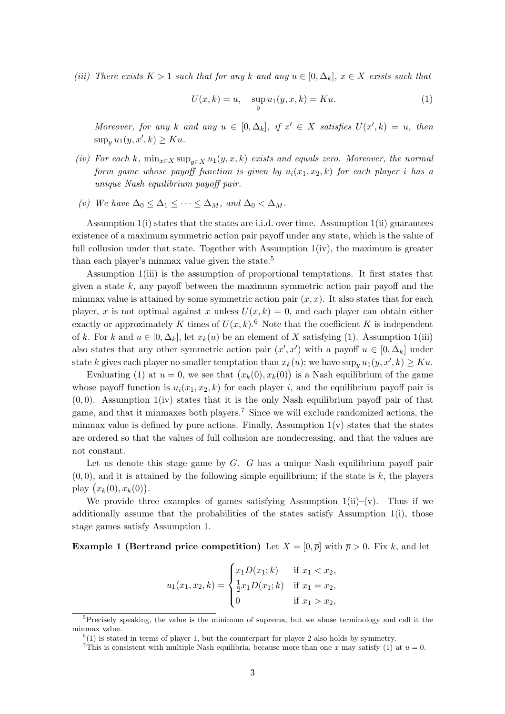*(iii)* There exists  $K > 1$  *such that for any* k *and any*  $u \in [0, \Delta_k]$ ,  $x \in X$  *exists such that* 

$$
U(x,k) = u, \quad \sup_{y} u_1(y,x,k) = Ku.
$$
 (1)

*Moreover, for any* k and any  $u \in [0, \Delta_k]$ , if  $x' \in X$  satisfies  $U(x', k) = u$ , then  $\sup_y u_1(y, x', k) \geq Ku.$ 

- *(iv)* For each k,  $\min_{x \in X} \sup_{y \in X} u_1(y, x, k)$  exists and equals zero. Moreover, the normal *form game whose payoff function is given by*  $u_i(x_1, x_2, k)$  *for each player i has a unique Nash equilibrium payoff pair.*
- *(v)* We have  $\Delta_0 \leq \Delta_1 \leq \cdots \leq \Delta_M$ , and  $\Delta_0 < \Delta_M$ .

Assumption  $1(i)$  states that the states are i.i.d. over time. Assumption  $1(i)$  guarantees existence of a maximum symmetric action pair payoff under any state, which is the value of full collusion under that state. Together with Assumption  $1(iv)$ , the maximum is greater than each player's minmax value given the state.<sup>5</sup>

Assumption 1(iii) is the assumption of proportional temptations. It first states that given a state  $k$ , any payoff between the maximum symmetric action pair payoff and the minmax value is attained by some symmetric action pair  $(x, x)$ . It also states that for each player, x is not optimal against x unless  $U(x, k) = 0$ , and each player can obtain either exactly or approximately K times of  $U(x, k)$ .<sup>6</sup> Note that the coefficient K is independent of k. For k and  $u \in [0, \Delta_k]$ , let  $x_k(u)$  be an element of X satisfying (1). Assumption 1(iii) also states that any other symmetric action pair  $(x', x')$  with a payoff  $u \in [0, \Delta_k]$  under state k gives each player no smaller temptation than  $x_k(u)$ ; we have  $\sup_y u_1(y, x', k) \geq Ku$ .

Evaluating (1) at  $u = 0$ , we see that  $(x_k(0), x_k(0))$  is a Nash equilibrium of the game whose payoff function is  $u_i(x_1, x_2, k)$  for each player i, and the equilibrium payoff pair is  $(0, 0)$ . Assumption  $1(iv)$  states that it is the only Nash equilibrium payoff pair of that game, and that it minmaxes both players.<sup>7</sup> Since we will exclude randomized actions, the minmax value is defined by pure actions. Finally, Assumption  $1(v)$  states that the states are ordered so that the values of full collusion are nondecreasing, and that the values are not constant.

Let us denote this stage game by  $G$ .  $G$  has a unique Nash equilibrium payoff pair  $(0, 0)$ , and it is attained by the following simple equilibrium; if the state is k, the players play  $(x_k(0), x_k(0))$ .

We provide three examples of games satisfying Assumption  $1(ii)-(v)$ . Thus if we additionally assume that the probabilities of the states satisfy Assumption 1(i), those stage games satisfy Assumption 1.

#### **Example 1 (Bertrand price competition)** Let  $X = [0, \overline{p}]$  with  $\overline{p} > 0$ . Fix k, and let

$$
u_1(x_1, x_2, k) = \begin{cases} x_1 D(x_1; k) & \text{if } x_1 < x_2, \\ \frac{1}{2} x_1 D(x_1; k) & \text{if } x_1 = x_2, \\ 0 & \text{if } x_1 > x_2, \end{cases}
$$

<sup>&</sup>lt;sup>5</sup>Precisely speaking, the value is the minimum of suprema, but we abuse terminology and call it the minmax value.

 $^{6}(1)$  is stated in terms of player 1, but the counterpart for player 2 also holds by symmetry.

<sup>&</sup>lt;sup>7</sup>This is consistent with multiple Nash equilibria, because more than one x may satisfy (1) at  $u = 0$ .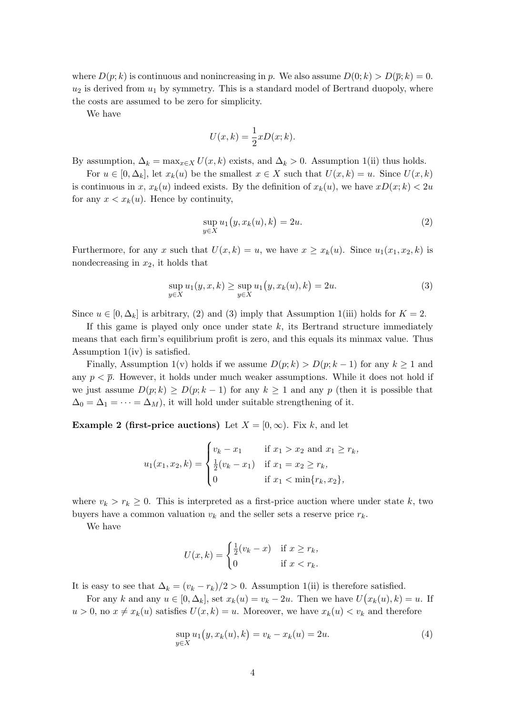where  $D(p; k)$  is continuous and nonincreasing in p. We also assume  $D(0; k) > D(\bar{p}; k) = 0$ .  $u_2$  is derived from  $u_1$  by symmetry. This is a standard model of Bertrand duopoly, where the costs are assumed to be zero for simplicity.

We have

$$
U(x,k) = \frac{1}{2}xD(x;k).
$$

By assumption,  $\Delta_k = \max_{x \in X} U(x, k)$  exists, and  $\Delta_k > 0$ . Assumption 1(ii) thus holds.

For  $u \in [0, \Delta_k]$ , let  $x_k(u)$  be the smallest  $x \in X$  such that  $U(x, k) = u$ . Since  $U(x, k)$ is continuous in x,  $x_k(u)$  indeed exists. By the definition of  $x_k(u)$ , we have  $xD(x; k) < 2u$ for any  $x < x_k(u)$ . Hence by continuity,

$$
\sup_{y \in X} u_1(y, x_k(u), k) = 2u. \tag{2}
$$

Furthermore, for any x such that  $U(x, k) = u$ , we have  $x \geq x_k(u)$ . Since  $u_1(x_1, x_2, k)$  is nondecreasing in  $x_2$ , it holds that

$$
\sup_{y \in X} u_1(y, x, k) \ge \sup_{y \in X} u_1(y, x_k(u), k) = 2u.
$$
 (3)

Since  $u \in [0, \Delta_k]$  is arbitrary, (2) and (3) imply that Assumption 1(iii) holds for  $K = 2$ .

If this game is played only once under state  $k$ , its Bertrand structure immediately means that each firm's equilibrium profit is zero, and this equals its minmax value. Thus Assumption 1(iv) is satisfied.

Finally, Assumption 1(v) holds if we assume  $D(p; k) > D(p; k-1)$  for any  $k \ge 1$  and any  $p < \bar{p}$ . However, it holds under much weaker assumptions. While it does not hold if we just assume  $D(p; k) \ge D(p; k-1)$  for any  $k \ge 1$  and any p (then it is possible that  $\Delta_0 = \Delta_1 = \cdots = \Delta_M$ , it will hold under suitable strengthening of it.

**Example 2 (first-price auctions)** Let  $X = [0, \infty)$ . Fix k, and let

$$
u_1(x_1, x_2, k) = \begin{cases} v_k - x_1 & \text{if } x_1 > x_2 \text{ and } x_1 \ge r_k, \\ \frac{1}{2}(v_k - x_1) & \text{if } x_1 = x_2 \ge r_k, \\ 0 & \text{if } x_1 < \min\{r_k, x_2\}, \end{cases}
$$

where  $v_k > r_k \geq 0$ . This is interpreted as a first-price auction where under state k, two buyers have a common valuation  $v_k$  and the seller sets a reserve price  $r_k$ .

We have

$$
U(x,k) = \begin{cases} \frac{1}{2}(v_k - x) & \text{if } x \ge r_k, \\ 0 & \text{if } x < r_k. \end{cases}
$$

It is easy to see that  $\Delta_k = (v_k - r_k)/2 > 0$ . Assumption 1(ii) is therefore satisfied.

For any k and any  $u \in [0, \Delta_k]$ , set  $x_k(u) = v_k - 2u$ . Then we have  $U(x_k(u), k) = u$ . If  $u > 0$ , no  $x \neq x_k(u)$  satisfies  $U(x, k) = u$ . Moreover, we have  $x_k(u) < v_k$  and therefore

$$
\sup_{y \in X} u_1(y, x_k(u), k) = v_k - x_k(u) = 2u.
$$
\n(4)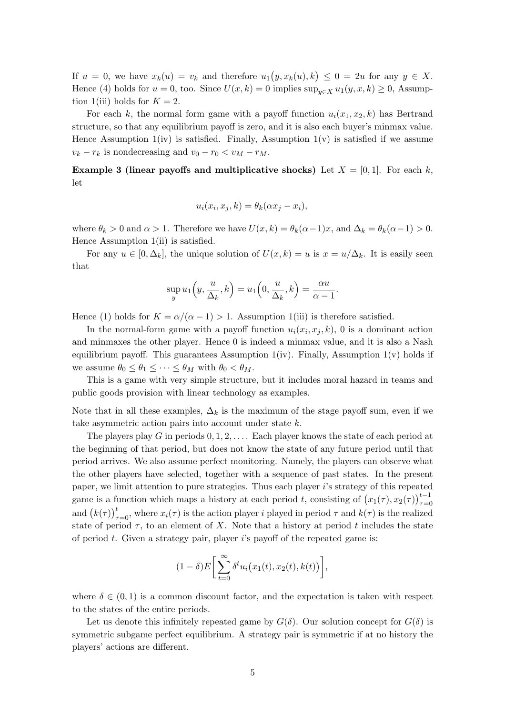If  $u = 0$ , we have  $x_k(u) = v_k$  and therefore  $u_1(y, x_k(u), k) \leq 0 = 2u$  for any  $y \in X$ . Hence (4) holds for  $u = 0$ , too. Since  $U(x, k) = 0$  implies  $\sup_{u \in X} u_1(y, x, k) \ge 0$ , Assumption 1(iii) holds for  $K = 2$ .

For each k, the normal form game with a payoff function  $u_i(x_1, x_2, k)$  has Bertrand structure, so that any equilibrium payoff is zero, and it is also each buyer's minmax value. Hence Assumption  $1(iv)$  is satisfied. Finally, Assumption  $1(v)$  is satisfied if we assume  $v_k - r_k$  is nondecreasing and  $v_0 - r_0 < v_M - r_M$ .

**Example 3 (linear payoffs and multiplicative shocks)** Let  $X = [0, 1]$ . For each k, let

$$
u_i(x_i, x_j, k) = \theta_k(\alpha x_j - x_i),
$$

where  $\theta_k > 0$  and  $\alpha > 1$ . Therefore we have  $U(x, k) = \theta_k(\alpha - 1)x$ , and  $\Delta_k = \theta_k(\alpha - 1) > 0$ . Hence Assumption  $1(i)$  is satisfied.

For any  $u \in [0, \Delta_k]$ , the unique solution of  $U(x, k) = u$  is  $x = u/\Delta_k$ . It is easily seen that

$$
\sup_{y} u_1\left(y, \frac{u}{\Delta_k}, k\right) = u_1\left(0, \frac{u}{\Delta_k}, k\right) = \frac{\alpha u}{\alpha - 1}.
$$

Hence (1) holds for  $K = \alpha/(\alpha - 1) > 1$ . Assumption 1(iii) is therefore satisfied.

In the normal-form game with a payoff function  $u_i(x_i, x_i, k)$ , 0 is a dominant action and minmaxes the other player. Hence 0 is indeed a minmax value, and it is also a Nash equilibrium payoff. This guarantees Assumption  $1(iv)$ . Finally, Assumption  $1(v)$  holds if we assume  $\theta_0 \leq \theta_1 \leq \cdots \leq \theta_M$  with  $\theta_0 < \theta_M$ .

This is a game with very simple structure, but it includes moral hazard in teams and public goods provision with linear technology as examples.

Note that in all these examples,  $\Delta_k$  is the maximum of the stage payoff sum, even if we take asymmetric action pairs into account under state  $k$ .

The players play G in periods  $0, 1, 2, \ldots$ . Each player knows the state of each period at the beginning of that period, but does not know the state of any future period until that period arrives. We also assume perfect monitoring. Namely, the players can observe what the other players have selected, together with a sequence of past states. In the present paper, we limit attention to pure strategies. Thus each player i's strategy of this repeated game is a function which maps a history at each period t, consisting of  $(x_1(\tau), x_2(\tau))_{\tau=0}^{t-1}$ and  $(k(\tau))_{\tau=0}^t$ , where  $x_i(\tau)$  is the action player i played in period  $\tau$  and  $k(\tau)$  is the realized state of period  $\tau$ , to an element of X. Note that a history at period t includes the state of period t. Given a strategy pair, player  $i$ 's payoff of the repeated game is:

$$
(1-\delta)E\bigg[\sum_{t=0}^{\infty}\delta^t u_i(x_1(t),x_2(t),k(t))\bigg],
$$

where  $\delta \in (0,1)$  is a common discount factor, and the expectation is taken with respect to the states of the entire periods.

Let us denote this infinitely repeated game by  $G(\delta)$ . Our solution concept for  $G(\delta)$  is symmetric subgame perfect equilibrium. A strategy pair is symmetric if at no history the players' actions are different.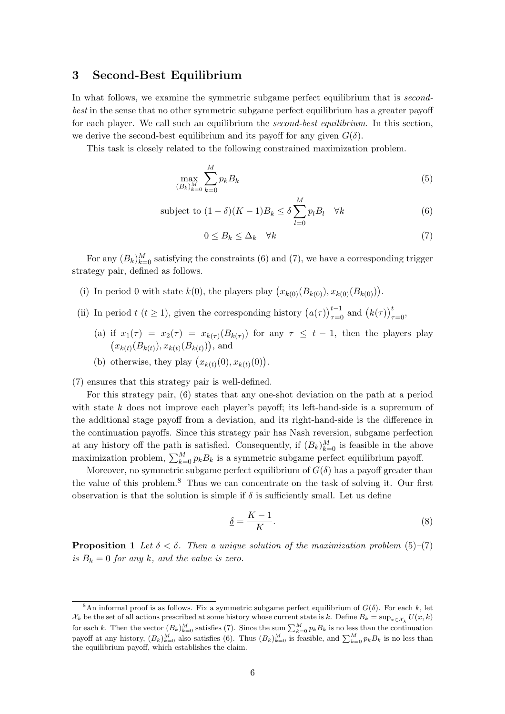#### **3 Second-Best Equilibrium**

In what follows, we examine the symmetric subgame perfect equilibrium that is *secondbest* in the sense that no other symmetric subgame perfect equilibrium has a greater payoff for each player. We call such an equilibrium the *second-best equilibrium*. In this section, we derive the second-best equilibrium and its payoff for any given  $G(\delta)$ .

This task is closely related to the following constrained maximization problem.

$$
\max_{(B_k)_{k=0}^M} \sum_{k=0}^M p_k B_k \tag{5}
$$

subject to 
$$
(1 - \delta)(K - 1)B_k \le \delta \sum_{l=0}^{M} p_l B_l \quad \forall k
$$
 (6)

$$
0 \le B_k \le \Delta_k \quad \forall k \tag{7}
$$

For any  $(B_k)_{k=0}^M$  satisfying the constraints (6) and (7), we have a corresponding trigger strategy pair, defined as follows.

- (i) In period 0 with state  $k(0)$ , the players play  $(x_{k(0)}(B_{k(0)}), x_{k(0)}(B_{k(0)})).$
- (ii) In period  $t$  ( $t \ge 1$ ), given the corresponding history  $(a(\tau))_{\tau=0}^{t-1}$  and  $(k(\tau))_{\tau=0}^{t}$ ,
	- (a) if  $x_1(\tau) = x_2(\tau) = x_{k(\tau)}(B_{k(\tau)})$  for any  $\tau \leq t 1$ , then the players play  $(x_{k(t)}(B_{k(t)}), x_{k(t)}(B_{k(t)}))$ , and
	- (b) otherwise, they play  $(x_{k(t)}(0), x_{k(t)}(0))$ .

(7) ensures that this strategy pair is well-defined.

For this strategy pair, (6) states that any one-shot deviation on the path at a period with state  $k$  does not improve each player's payoff; its left-hand-side is a supremum of the additional stage payoff from a deviation, and its right-hand-side is the difference in the continuation payoffs. Since this strategy pair has Nash reversion, subgame perfection at any history off the path is satisfied. Consequently, if  $(B_k)_{k=0}^M$  is feasible in the above maximization problem,  $\sum_{k=0}^{M} p_k B_k$  is a symmetric subgame perfect equilibrium payoff.

Moreover, no symmetric subgame perfect equilibrium of  $G(\delta)$  has a payoff greater than the value of this problem.<sup>8</sup> Thus we can concentrate on the task of solving it. Our first observation is that the solution is simple if  $\delta$  is sufficiently small. Let us define

$$
\underline{\delta} = \frac{K - 1}{K}.\tag{8}
$$

**Proposition 1** *Let*  $\delta < \delta$ . Then a unique solution of the maximization problem (5)–(7) *is*  $B_k = 0$  *for any k*, and the value is zero.

<sup>&</sup>lt;sup>8</sup>An informal proof is as follows. Fix a symmetric subgame perfect equilibrium of  $G(δ)$ . For each k, let  $\mathcal{X}_k$  be the set of all actions prescribed at some history whose current state is k. Define  $B_k = \sup_{x \in \mathcal{X}_k} U(x, k)$ for each k. Then the vector  $(B_k)_{k=0}^M$  satisfies (7). Since the sum  $\sum_{k=0}^M p_k B_k$  is no less than the continuation payoff at any history,  $(B_k)_{k=0}^M$  also satisfies (6). Thus  $(B_k)_{k=0}^M$  is feasible, and  $\sum_{k=0}^M p_k B_k$  is no less than the equilibrium payoff, which establishes the claim.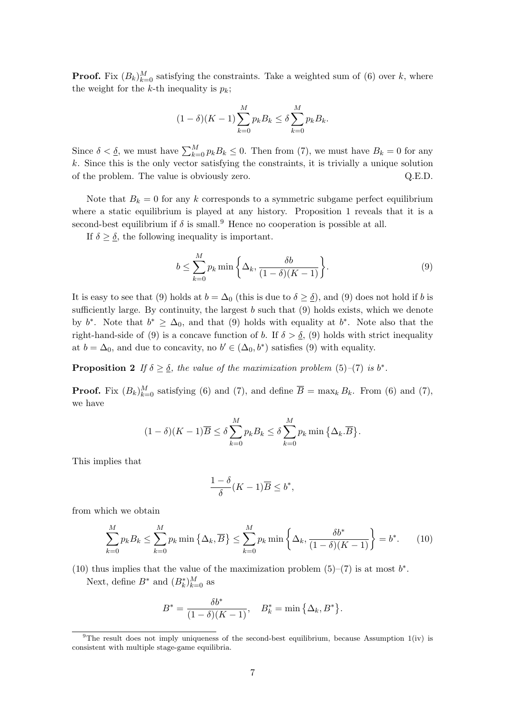**Proof.** Fix  $(B_k)_{k=0}^M$  satisfying the constraints. Take a weighted sum of (6) over k, where the weight for the k-th inequality is  $p_k$ ;

$$
(1 - \delta)(K - 1) \sum_{k=0}^{M} p_k B_k \le \delta \sum_{k=0}^{M} p_k B_k.
$$

Since  $\delta < \underline{\delta}$ , we must have  $\sum_{k=0}^{M} p_k B_k \leq 0$ . Then from (7), we must have  $B_k = 0$  for any  $k$ . Since this is the only vector satisfying the constraints, it is trivially a unique solution of the problem. The value is obviously zero. Q.E.D.

Note that  $B_k = 0$  for any k corresponds to a symmetric subgame perfect equilibrium where a static equilibrium is played at any history. Proposition 1 reveals that it is a second-best equilibrium if  $\delta$  is small.<sup>9</sup> Hence no cooperation is possible at all.

If  $\delta > \delta$ , the following inequality is important.

$$
b \le \sum_{k=0}^{M} p_k \min\left\{\Delta_k, \frac{\delta b}{(1-\delta)(K-1)}\right\}.
$$
\n(9)

It is easy to see that (9) holds at  $b = \Delta_0$  (this is due to  $\delta \geq \underline{\delta}$ ), and (9) does not hold if b is sufficiently large. By continuity, the largest  $b$  such that  $(9)$  holds exists, which we denote by  $b^*$ . Note that  $b^* \geq \Delta_0$ , and that (9) holds with equality at  $b^*$ . Note also that the right-hand-side of (9) is a concave function of b. If  $\delta > \underline{\delta}$ , (9) holds with strict inequality at  $b = \Delta_0$ , and due to concavity, no  $b' \in (\Delta_0, b^*)$  satisfies (9) with equality.

**Proposition 2** *If*  $\delta > \delta$ *, the value of the maximization problem* (5)–(7) *is*  $b^*$ *.* 

**Proof.** Fix  $(B_k)_{k=0}^M$  satisfying (6) and (7), and define  $\overline{B} = \max_k B_k$ . From (6) and (7), we have

$$
(1 - \delta)(K - 1)\overline{B} \le \delta \sum_{k=0}^{M} p_k B_k \le \delta \sum_{k=0}^{M} p_k \min \left\{ \Delta_k . \overline{B} \right\}.
$$

This implies that

$$
\frac{1-\delta}{\delta}(K-1)\overline{B} \le b^*,
$$

from which we obtain

$$
\sum_{k=0}^{M} p_k B_k \le \sum_{k=0}^{M} p_k \min \left\{ \Delta_k, \overline{B} \right\} \le \sum_{k=0}^{M} p_k \min \left\{ \Delta_k, \frac{\delta b^*}{(1 - \delta)(K - 1)} \right\} = b^*.
$$
 (10)

(10) thus implies that the value of the maximization problem (5)–(7) is at most  $b^*$ . Next, define  $B^*$  and  $(B_k^*)_{k=0}^M$  as

$$
B^* = \frac{\delta b^*}{(1 - \delta)(K - 1)}, \quad B_k^* = \min\left\{\Delta_k, B^*\right\}.
$$

<sup>&</sup>lt;sup>9</sup>The result does not imply uniqueness of the second-best equilibrium, because Assumption  $1(iv)$  is consistent with multiple stage-game equilibria.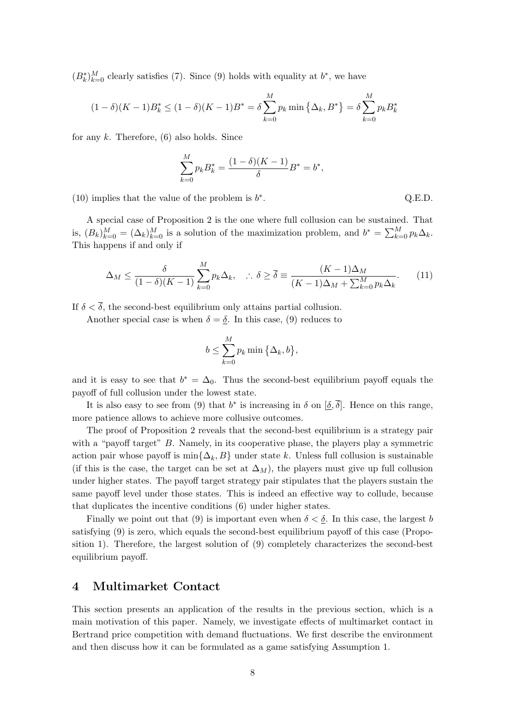$(B_k^*)_{k=0}^M$  clearly satisfies (7). Since (9) holds with equality at  $b^*$ , we have

$$
(1 - \delta)(K - 1)B_k^* \le (1 - \delta)(K - 1)B^* = \delta \sum_{k=0}^M p_k \min\left\{\Delta_k, B^*\right\} = \delta \sum_{k=0}^M p_k B_k^*
$$

for any  $k$ . Therefore,  $(6)$  also holds. Since

$$
\sum_{k=0}^{M} p_k B_k^* = \frac{(1-\delta)(K-1)}{\delta} B^* = b^*,
$$

(10) implies that the value of the problem is  $b^*$ .

A special case of Proposition 2 is the one where full collusion can be sustained. That is,  $(B_k)_{k=0}^M = (\Delta_k)_{k=0}^M$  is a solution of the maximization problem, and  $b^* = \sum_{k=0}^M p_k \Delta_k$ . This happens if and only if

$$
\Delta_M \le \frac{\delta}{(1-\delta)(K-1)} \sum_{k=0}^M p_k \Delta_k, \quad \therefore \ \delta \ge \overline{\delta} \equiv \frac{(K-1)\Delta_M}{(K-1)\Delta_M + \sum_{k=0}^M p_k \Delta_k}.\tag{11}
$$

If  $\delta < \overline{\delta}$ , the second-best equilibrium only attains partial collusion.

Another special case is when  $\delta = \underline{\delta}$ . In this case, (9) reduces to

$$
b \leq \sum_{k=0}^{M} p_k \min\left\{\Delta_k, b\right\},\
$$

and it is easy to see that  $b^* = \Delta_0$ . Thus the second-best equilibrium payoff equals the payoff of full collusion under the lowest state.

It is also easy to see from (9) that  $b^*$  is increasing in  $\delta$  on  $[\delta, \overline{\delta}]$ . Hence on this range, more patience allows to achieve more collusive outcomes.

The proof of Proposition 2 reveals that the second-best equilibrium is a strategy pair with a "payoff target" B. Namely, in its cooperative phase, the players play a symmetric action pair whose payoff is  $\min\{\Delta_k, B\}$  under state k. Unless full collusion is sustainable (if this is the case, the target can be set at  $\Delta_M$ ), the players must give up full collusion under higher states. The payoff target strategy pair stipulates that the players sustain the same payoff level under those states. This is indeed an effective way to collude, because that duplicates the incentive conditions (6) under higher states.

Finally we point out that (9) is important even when  $\delta < \delta$ . In this case, the largest b satisfying (9) is zero, which equals the second-best equilibrium payoff of this case (Proposition 1). Therefore, the largest solution of (9) completely characterizes the second-best equilibrium payoff.

#### **4 Multimarket Contact**

This section presents an application of the results in the previous section, which is a main motivation of this paper. Namely, we investigate effects of multimarket contact in Bertrand price competition with demand fluctuations. We first describe the environment and then discuss how it can be formulated as a game satisfying Assumption 1.

$$
Q.E.D
$$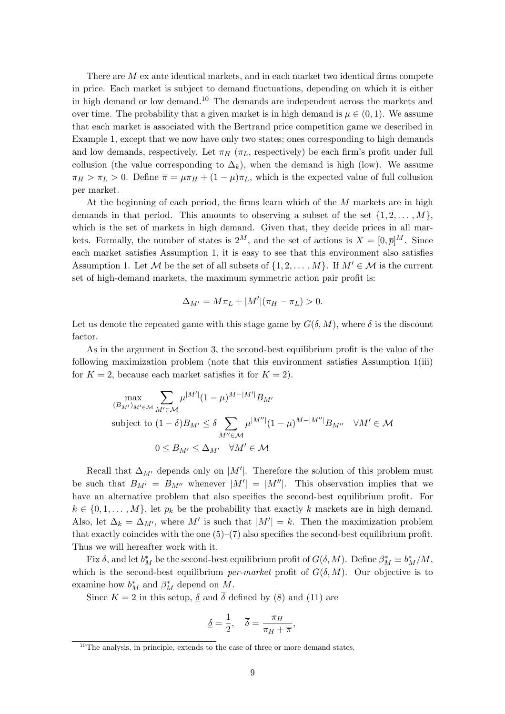There are  $M$  ex ante identical markets, and in each market two identical firms compete in price. Each market is subject to demand fluctuations, depending on which it is either in high demand or low demand.<sup>10</sup> The demands are independent across the markets and over time. The probability that a given market is in high demand is  $\mu \in (0,1)$ . We assume that each market is associated with the Bertrand price competition game we described in Example 1, except that we now have only two states; ones corresponding to high demands and low demands, respectively. Let  $\pi_H$  ( $\pi_L$ , respectively) be each firm's profit under full collusion (the value corresponding to  $\Delta_k$ ), when the demand is high (low). We assume  $\pi_H > \pi_L > 0$ . Define  $\overline{\pi} = \mu \pi_H + (1 - \mu) \pi_L$ , which is the expected value of full collusion per market.

At the beginning of each period, the firms learn which of the M markets are in high demands in that period. This amounts to observing a subset of the set  $\{1, 2, \ldots, M\}$ , which is the set of markets in high demand. Given that, they decide prices in all markets. Formally, the number of states is  $2^M$ , and the set of actions is  $X = [0, \overline{p}]^M$ . Since each market satisfies Assumption 1, it is easy to see that this environment also satisfies Assumption 1. Let M be the set of all subsets of  $\{1, 2, ..., M\}$ . If  $M' \in \mathcal{M}$  is the current set of high-demand markets, the maximum symmetric action pair profit is:

$$
\Delta_{M'} = M\pi_L + |M'|(\pi_H - \pi_L) > 0.
$$

Let us denote the repeated game with this stage game by  $G(\delta, M)$ , where  $\delta$  is the discount factor.

As in the argument in Section 3, the second-best equilibrium profit is the value of the following maximization problem (note that this environment satisfies Assumption 1(iii) for  $K = 2$ , because each market satisfies it for  $K = 2$ ).

$$
\max_{(B_{M'})_{M'\in\mathcal{M}}}\sum_{M'\in\mathcal{M}}\mu^{|M'|}(1-\mu)^{M-|M'|}B_{M'}
$$
\nsubject to  $(1-\delta)B_{M'}\leq \delta \sum_{M''\in\mathcal{M}}\mu^{|M''|}(1-\mu)^{M-|M''|}B_{M''}\quad\forall M'\in\mathcal{M}$ \n $0\leq B_{M'}\leq \Delta_{M'}\quad\forall M'\in\mathcal{M}$ 

Recall that  $\Delta_{M'}$  depends only on  $|M'|$ . Therefore the solution of this problem must be such that  $B_{M'} = B_{M''}$  whenever  $|M'| = |M''|$ . This observation implies that we have an alternative problem that also specifies the second-best equilibrium profit. For  $k \in \{0, 1, \ldots, M\}$ , let  $p_k$  be the probability that exactly k markets are in high demand. Also, let  $\Delta_k = \Delta_{M'}$ , where M' is such that  $|M'| = k$ . Then the maximization problem that exactly coincides with the one  $(5)-(7)$  also specifies the second-best equilibrium profit. Thus we will hereafter work with it.

Fix  $\delta$ , and let  $b_M^*$  be the second-best equilibrium profit of  $G(\delta, M)$ . Define  $\beta_M^* \equiv b_M^*/M$ , which is the second-best equilibrium *per-market* profit of  $G(\delta, M)$ . Our objective is to examine how  $b_M^*$  and  $\beta_M^*$  depend on M.

Since  $K = 2$  in this setup,  $\delta$  and  $\delta$  defined by (8) and (11) are

$$
\underline{\delta} = \frac{1}{2}, \quad \overline{\delta} = \frac{\pi_H}{\pi_H + \overline{\pi}},
$$

 $10$ The analysis, in principle, extends to the case of three or more demand states.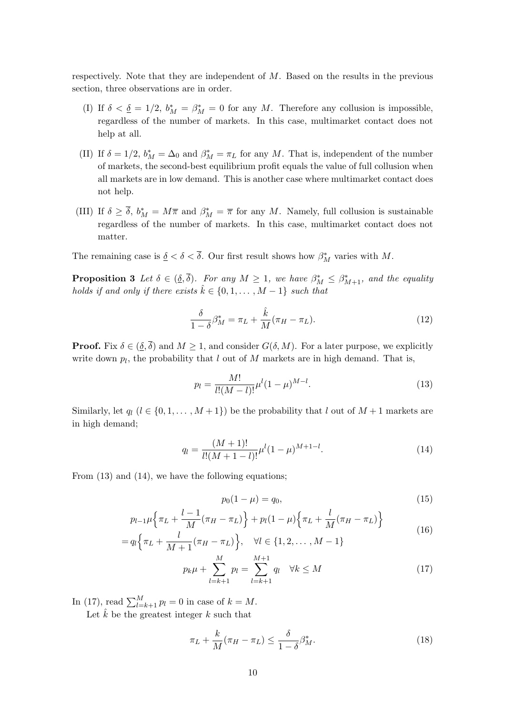respectively. Note that they are independent of  $M$ . Based on the results in the previous section, three observations are in order.

- (I) If  $\delta < \underline{\delta} = 1/2$ ,  $b_M^* = \beta_M^* = 0$  for any M. Therefore any collusion is impossible, regardless of the number of markets. In this case, multimarket contact does not help at all.
- (II) If  $\delta = 1/2$ ,  $b_M^* = \Delta_0$  and  $\beta_M^* = \pi_L$  for any M. That is, independent of the number of markets, the second-best equilibrium profit equals the value of full collusion when all markets are in low demand. This is another case where multimarket contact does not help.
- (III) If  $\delta \geq \delta$ ,  $b_M^* = M\overline{\pi}$  and  $\beta_M^* = \overline{\pi}$  for any M. Namely, full collusion is sustainable regardless of the number of markets. In this case, multimarket contact does not matter.

The remaining case is  $\delta < \delta < \delta$ . Our first result shows how  $\beta^*_M$  varies with M.

**Proposition 3** *Let*  $\delta \in (\underline{\delta}, \delta)$ *. For any*  $M \geq 1$ *, we have*  $\beta_M^* \leq \beta_{M+1}^*$ *, and the equality holds if and only if there exists*  $\hat{k} \in \{0, 1, \ldots, M-1\}$  *such that* 

$$
\frac{\delta}{1-\delta}\beta_M^* = \pi_L + \frac{\hat{k}}{M}(\pi_H - \pi_L). \tag{12}
$$

**Proof.** Fix  $\delta \in (\underline{\delta}, \overline{\delta})$  and  $M \ge 1$ , and consider  $G(\delta, M)$ . For a later purpose, we explicitly write down  $p_l$ , the probability that  $l$  out of  $M$  markets are in high demand. That is,

$$
p_l = \frac{M!}{l!(M-l)!} \mu^l (1-\mu)^{M-l}.
$$
\n(13)

Similarly, let  $q_l$   $(l \in \{0, 1, ..., M + 1\})$  be the probability that l out of  $M + 1$  markets are in high demand;

$$
q_l = \frac{(M+1)!}{l!(M+1-l)!} \mu^l (1-\mu)^{M+1-l}.
$$
\n(14)

From (13) and (14), we have the following equations;

$$
p_0(1 - \mu) = q_0,\t\t(15)
$$

$$
p_{l-1}\mu\left\{\pi_L + \frac{l-1}{M}(\pi_H - \pi_L)\right\} + p_l(1-\mu)\left\{\pi_L + \frac{l}{M}(\pi_H - \pi_L)\right\}
$$
(16)

$$
= q_l \left\{ \pi_L + \frac{l}{M+1} (\pi_H - \pi_L) \right\}, \quad \forall l \in \{1, 2, \dots, M-1\}
$$

$$
p_k \mu + \sum_{l=k+1}^{M} p_l = \sum_{l=k+1}^{M+1} q_l \quad \forall k \le M \tag{17}
$$

In (17), read  $\sum_{l=k+1}^{M} p_l = 0$  in case of  $k = M$ .

Let  $\hat{k}$  be the greatest integer  $k$  such that

$$
\pi_L + \frac{k}{M} (\pi_H - \pi_L) \le \frac{\delta}{1 - \delta} \beta_M^*.
$$
\n(18)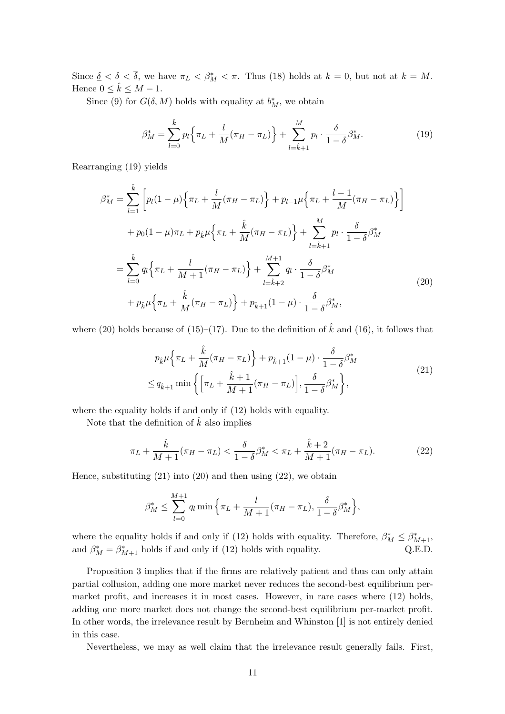Since  $\underline{\delta} < \delta < \delta$ , we have  $\pi_L < \beta_M^* < \overline{\pi}$ . Thus (18) holds at  $k = 0$ , but not at  $k = M$ . Hence  $0 \leq \hat{k} \leq M - 1$ .

Since (9) for  $G(\delta, M)$  holds with equality at  $b_M^*$ , we obtain

$$
\beta_M^* = \sum_{l=0}^{\hat{k}} p_l \left\{ \pi_L + \frac{l}{M} (\pi_H - \pi_L) \right\} + \sum_{l=\hat{k}+1}^M p_l \cdot \frac{\delta}{1-\delta} \beta_M^*.
$$
 (19)

Rearranging (19) yields

$$
\beta_M^* = \sum_{l=1}^{\hat{k}} \left[ p_l (1 - \mu) \left\{ \pi_L + \frac{l}{M} (\pi_H - \pi_L) \right\} + p_{l-1} \mu \left\{ \pi_L + \frac{l-1}{M} (\pi_H - \pi_L) \right\} \right] + p_0 (1 - \mu) \pi_L + p_{\hat{k}} \mu \left\{ \pi_L + \frac{\hat{k}}{M} (\pi_H - \pi_L) \right\} + \sum_{l=\hat{k}+1}^{M} p_l \cdot \frac{\delta}{1 - \delta} \beta_M^* = \sum_{l=0}^{\hat{k}} q_l \left\{ \pi_L + \frac{l}{M+1} (\pi_H - \pi_L) \right\} + \sum_{l=\hat{k}+2}^{M+1} q_l \cdot \frac{\delta}{1 - \delta} \beta_M^* + p_{\hat{k}} \mu \left\{ \pi_L + \frac{\hat{k}}{M} (\pi_H - \pi_L) \right\} + p_{\hat{k}+1} (1 - \mu) \cdot \frac{\delta}{1 - \delta} \beta_M^*,
$$
\n(20)

where (20) holds because of (15)–(17). Due to the definition of  $\hat{k}$  and (16), it follows that

$$
p_{\hat{k}}\mu \left\{\pi_L + \frac{\hat{k}}{M}(\pi_H - \pi_L)\right\} + p_{\hat{k}+1}(1 - \mu) \cdot \frac{\delta}{1 - \delta} \beta_M^*
$$
  

$$
\leq q_{\hat{k}+1} \min \left\{\left[\pi_L + \frac{\hat{k} + 1}{M + 1}(\pi_H - \pi_L)\right], \frac{\delta}{1 - \delta} \beta_M^*\right\},
$$
 (21)

where the equality holds if and only if (12) holds with equality.

Note that the definition of  $\hat{k}$  also implies

$$
\pi_L + \frac{\hat{k}}{M+1} (\pi_H - \pi_L) < \frac{\delta}{1-\delta} \beta_M^* < \pi_L + \frac{\hat{k}+2}{M+1} (\pi_H - \pi_L). \tag{22}
$$

Hence, substituting  $(21)$  into  $(20)$  and then using  $(22)$ , we obtain

$$
\beta_M^* \le \sum_{l=0}^{M+1} q_l \min \left\{ \pi_L + \frac{l}{M+1} (\pi_H - \pi_L), \frac{\delta}{1-\delta} \beta_M^* \right\},\
$$

where the equality holds if and only if (12) holds with equality. Therefore,  $\beta_M^* \leq \beta_{M+1}^*$ , and  $\beta_M^* = \beta_{M+1}^*$  holds if and only if (12) holds with equality. Q.E.D.

Proposition 3 implies that if the firms are relatively patient and thus can only attain partial collusion, adding one more market never reduces the second-best equilibrium permarket profit, and increases it in most cases. However, in rare cases where (12) holds, adding one more market does not change the second-best equilibrium per-market profit. In other words, the irrelevance result by Bernheim and Whinston [1] is not entirely denied in this case.

Nevertheless, we may as well claim that the irrelevance result generally fails. First,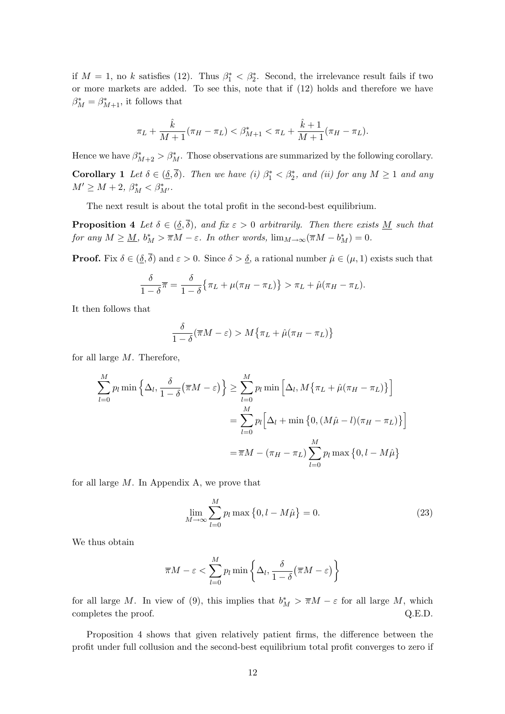if  $M = 1$ , no k satisfies (12). Thus  $\beta_1^* < \beta_2^*$ . Second, the irrelevance result fails if two or more markets are added. To see this, note that if (12) holds and therefore we have  $\beta_M^* = \beta_{M+1}^*$ , it follows that

$$
\pi_L + \frac{\hat{k}}{M+1}(\pi_H - \pi_L) < \beta^*_{M+1} < \pi_L + \frac{\hat{k}+1}{M+1}(\pi_H - \pi_L).
$$

Hence we have  $\beta^*_{M+2} > \beta^*_M$ . Those observations are summarized by the following corollary. **Corollary 1** *Let*  $\delta \in (\underline{\delta}, \delta)$ *. Then we have* (i)  $\beta_1^* < \beta_2^*$ *, and (ii) for any*  $M \ge 1$  *and any*  $M' \ge M + 2, \ \beta_M^* < \beta_{M'}^*$ .

The next result is about the total profit in the second-best equilibrium.

**Proposition 4** *Let*  $\delta \in (\underline{\delta}, \overline{\delta})$ *, and fix*  $\varepsilon > 0$  *arbitrarily. Then there exists* <u>M</u> *such that for any*  $M \geq \underline{M}$ ,  $b_M^* > \overline{\pi}M - \varepsilon$ . *In other words*,  $\lim_{M \to \infty} (\overline{\pi}M - b_M^*) = 0$ .

**Proof.** Fix  $\delta \in (\underline{\delta}, \overline{\delta})$  and  $\varepsilon > 0$ . Since  $\delta > \underline{\delta}$ , a rational number  $\hat{\mu} \in (\mu, 1)$  exists such that

$$
\frac{\delta}{1-\delta}\pi = \frac{\delta}{1-\delta}\{\pi_L + \mu(\pi_H - \pi_L)\} > \pi_L + \hat{\mu}(\pi_H - \pi_L).
$$

It then follows that

$$
\frac{\delta}{1-\delta}(\overline{\pi}M-\varepsilon) > M\{\pi_L+\hat{\mu}(\pi_H-\pi_L)\}\
$$

for all large  $M$ . Therefore,

$$
\sum_{l=0}^{M} p_l \min \left\{ \Delta_l, \frac{\delta}{1-\delta} (\overline{\pi}M - \varepsilon) \right\} \ge \sum_{l=0}^{M} p_l \min \left[ \Delta_l, M \{ \pi_L + \hat{\mu}(\pi_H - \pi_L) \} \right]
$$

$$
= \sum_{l=0}^{M} p_l \left[ \Delta_l + \min \left\{ 0, (M\hat{\mu} - l)(\pi_H - \pi_L) \right\} \right]
$$

$$
= \overline{\pi}M - (\pi_H - \pi_L) \sum_{l=0}^{M} p_l \max \left\{ 0, l - M\hat{\mu} \right\}
$$

for all large  $M$ . In Appendix A, we prove that

$$
\lim_{M \to \infty} \sum_{l=0}^{M} p_l \max \left\{ 0, l - M \hat{\mu} \right\} = 0.
$$
 (23)

We thus obtain

$$
\overline{\pi}M - \varepsilon < \sum_{l=0}^{M} p_l \min\left\{\Delta_l, \frac{\delta}{1-\delta}(\overline{\pi}M - \varepsilon)\right\}
$$

for all large M. In view of (9), this implies that  $b_M^* > \overline{\pi}M - \varepsilon$  for all large M, which completes the proof.  $Q.E.D.$ 

Proposition 4 shows that given relatively patient firms, the difference between the profit under full collusion and the second-best equilibrium total profit converges to zero if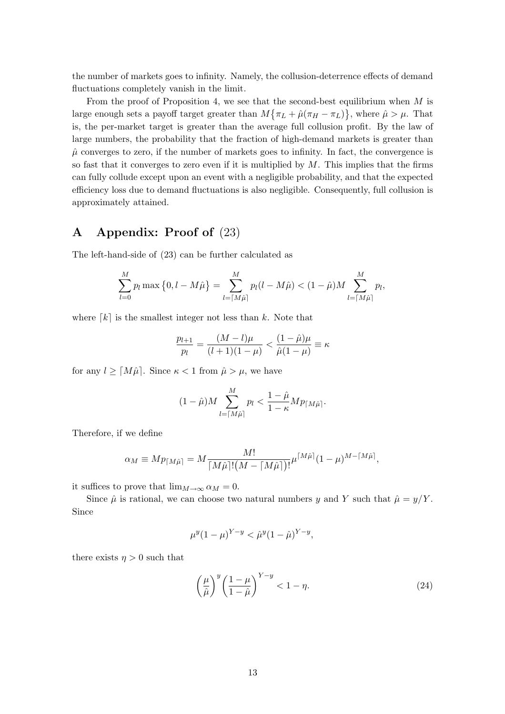the number of markets goes to infinity. Namely, the collusion-deterrence effects of demand fluctuations completely vanish in the limit.

From the proof of Proposition 4, we see that the second-best equilibrium when  $M$  is large enough sets a payoff target greater than  $M\{\pi_L + \hat{\mu}(\pi_H - \pi_L)\}\$ , where  $\hat{\mu} > \mu$ . That is, the per-market target is greater than the average full collusion profit. By the law of large numbers, the probability that the fraction of high-demand markets is greater than  $\hat{\mu}$  converges to zero, if the number of markets goes to infinity. In fact, the convergence is so fast that it converges to zero even if it is multiplied by  $M$ . This implies that the firms can fully collude except upon an event with a negligible probability, and that the expected efficiency loss due to demand fluctuations is also negligible. Consequently, full collusion is approximately attained.

## **A Appendix: Proof of** (23)

The left-hand-side of (23) can be further calculated as

$$
\sum_{l=0}^{M} p_l \max\left\{0, l - M\hat{\mu}\right\} = \sum_{l=\lceil M\hat{\mu} \rceil}^{M} p_l(l - M\hat{\mu}) < (1 - \hat{\mu})M \sum_{l=\lceil M\hat{\mu} \rceil}^{M} p_l,
$$

where  $\lceil k \rceil$  is the smallest integer not less than k. Note that

$$
\frac{p_{l+1}}{p_l} = \frac{(M-l)\mu}{(l+1)(1-\mu)} < \frac{(1-\hat{\mu})\mu}{\hat{\mu}(1-\mu)} \equiv \kappa
$$

for any  $l \geq \lceil M\hat{\mu} \rceil$ . Since  $\kappa < 1$  from  $\hat{\mu} > \mu$ , we have

$$
(1 - \hat{\mu})M \sum_{l=\lceil M\hat{\mu} \rceil}^{M} p_l < \frac{1 - \hat{\mu}}{1 - \kappa} M p_{\lceil M\hat{\mu} \rceil}.
$$

Therefore, if we define

$$
\alpha_M \equiv M p_{\lceil M\hat{\mu}\rceil} = M \frac{M!}{\lceil M\hat{\mu}\rceil! (M - \lceil M\hat{\mu}\rceil)!} \mu^{\lceil M\hat{\mu}\rceil} (1 - \mu)^{M - \lceil M\hat{\mu}\rceil},
$$

it suffices to prove that  $\lim_{M\to\infty} \alpha_M = 0$ .

Since  $\hat{\mu}$  is rational, we can choose two natural numbers y and Y such that  $\hat{\mu} = y/Y$ . Since

$$
\mu^y (1 - \mu)^{Y - y} < \hat{\mu}^y (1 - \hat{\mu})^{Y - y},
$$

there exists  $\eta > 0$  such that

$$
\left(\frac{\mu}{\hat{\mu}}\right)^y \left(\frac{1-\mu}{1-\hat{\mu}}\right)^{Y-y} < 1-\eta. \tag{24}
$$